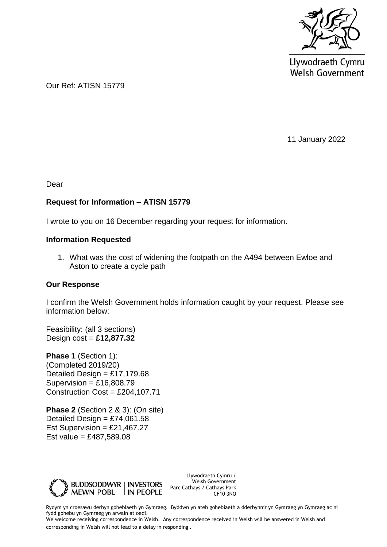

Llywodraeth Cymru **Welsh Government** 

Our Ref: ATISN 15779

11 January 2022

Dear

## **Request for Information – ATISN 15779**

I wrote to you on 16 December regarding your request for information.

## **Information Requested**

1. What was the cost of widening the footpath on the A494 between Ewloe and Aston to create a cycle path

## **Our Response**

I confirm the Welsh Government holds information caught by your request. Please see information below:

Feasibility: (all 3 sections) Design cost = **£12,877.32**

**Phase 1** (Section 1): (Completed 2019/20) Detailed Design =  $£17.179.68$ Supervision =  $£16,808.79$ Construction Cost = £204,107.71

**Phase 2** (Section 2 & 3): (On site) Detailed Design =  $£74.061.58$ Est Supervision =  $£21,467.27$ Est value = £487,589.08



Llywodraeth Cymru / Welsh Government Parc Cathays / Cathays Park CF10 3NQ

Rydym yn croesawu derbyn gohebiaeth yn Gymraeg. Byddwn yn ateb gohebiaeth a dderbynnir yn Gymraeg yn Gymraeg ac ni fydd gohebu yn Gymraeg yn arwain at oedi.

We welcome receiving correspondence in Welsh. Any correspondence received in Welsh will be answered in Welsh and corresponding in Welsh will not lead to a delay in responding.